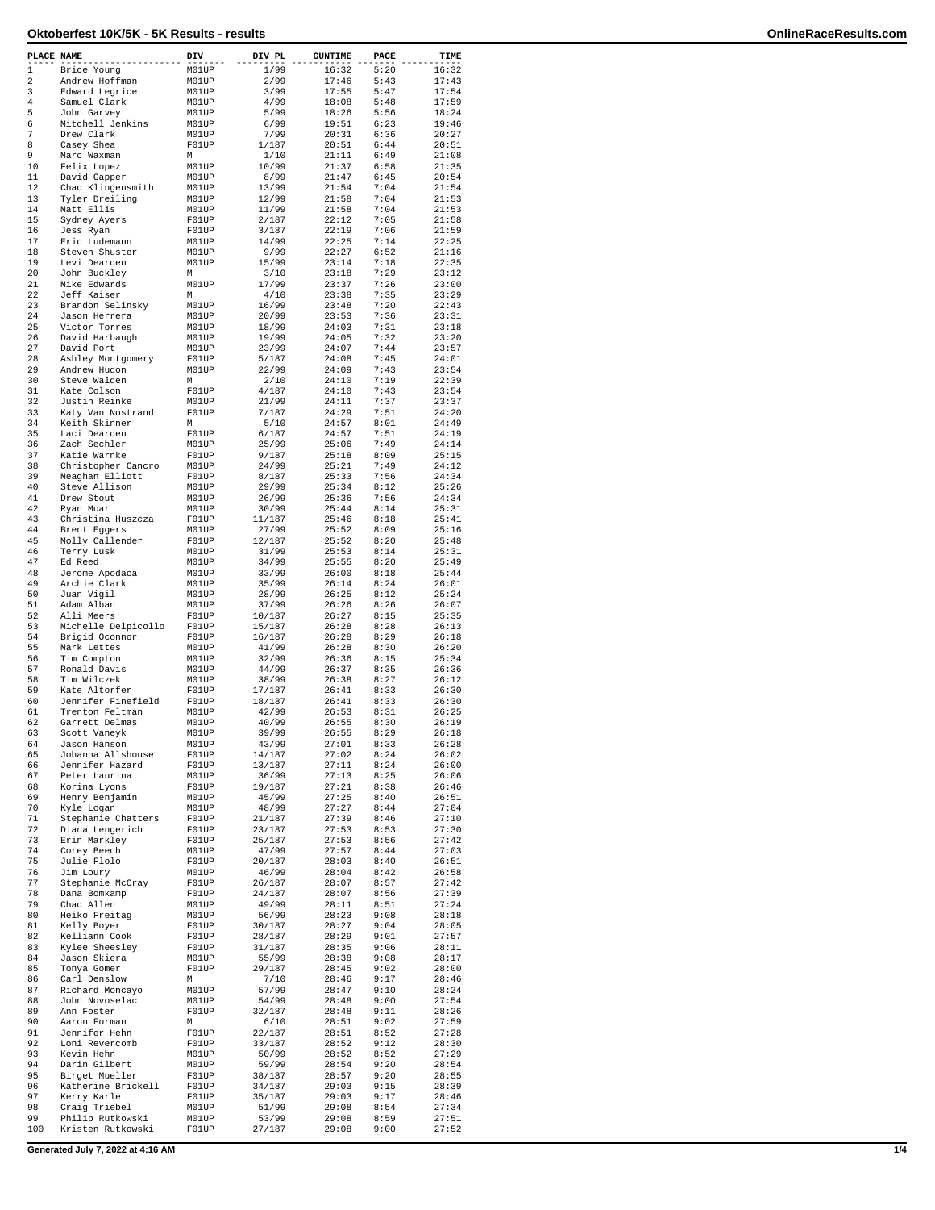| PLACE NAME     |                                       | DIV            | DIV PL           | <b>GUNTIME</b> | PACE         | TIME           |
|----------------|---------------------------------------|----------------|------------------|----------------|--------------|----------------|
| $\mathbf{1}$   | Brice Young                           | M01UP          | 1/99             | 16:32          | 5:20         | 16:32          |
| $\overline{a}$ | Andrew Hoffman                        | M01UP          | 2/99             | 17:46          | 5:43         | 17:43          |
| 3              | Edward Legrice                        | M01UP          | 3/99             | 17:55          | 5:47         | 17:54          |
| 4              | Samuel Clark                          | M01UP          | 4/99             | 18:08          | 5:48         | 17:59          |
| 5<br>6         | John Garvey                           | M01UP<br>M01UP | 5/99<br>6/99     | 18:26<br>19:51 | 5:56<br>6:23 | 18:24<br>19:46 |
| 7              | Mitchell Jenkins<br>Drew Clark        | M01UP          | 7/99             | 20:31          | 6:36         | 20:27          |
| 8              | Casey Shea                            | F01UP          | 1/187            | 20:51          | 6:44         | 20:51          |
| 9              | Marc Waxman                           | М              | 1/10             | 21:11          | 6:49         | 21:08          |
| 10             | Felix Lopez                           | M01UP          | 10/99            | 21:37          | 6:58         | 21:35          |
| 11             | David Gapper                          | M01UP          | 8/99             | 21:47          | 6:45         | 20:54          |
| 12             | Chad Klingensmith                     | M01UP          | 13/99            | 21:54          | 7:04         | 21:54          |
| 13             | Tyler Dreiling                        | M01UP          | 12/99            | 21:58          | 7:04         | 21:53          |
| 14             | Matt Ellis                            | M01UP          | 11/99            | 21:58          | 7:04         | 21:53          |
| 15             | Sydney Ayers                          | F01UP          | 2/187            | 22:12          | 7:05         | 21:58          |
| 16<br>17       | Jess Ryan                             | F01UP          | 3/187<br>14/99   | 22:19          | 7:06         | 21:59<br>22:25 |
| 18             | Eric Ludemann<br>Steven Shuster       | M01UP<br>M01UP | 9/99             | 22:25<br>22:27 | 7:14<br>6:52 | 21:16          |
| 19             | Levi Dearden                          | M01UP          | 15/99            | 23:14          | 7:18         | 22:35          |
| 20             | John Buckley                          | М              | 3/10             | 23:18          | 7:29         | 23:12          |
| 21             | Mike Edwards                          | M01UP          | 17/99            | 23:37          | 7:26         | 23:00          |
| 22             | Jeff Kaiser                           | М              | 4/10             | 23:38          | 7:35         | 23:29          |
| 23             | Brandon Selinsky                      | M01UP          | 16/99            | 23:48          | 7:20         | 22:43          |
| 24             | Jason Herrera                         | M01UP          | 20/99            | 23:53          | 7:36         | 23:31          |
| 25             | Victor Torres                         | M01UP          | 18/99            | 24:03          | 7:31         | 23:18          |
| 26             | David Harbaugh                        | M01UP          | 19/99            | 24:05          | 7:32         | 23:20          |
| 27<br>28       | David Port                            | M01UP          | 23/99            | 24:07          | 7:44<br>7:45 | 23:57          |
| 29             | Ashley Montgomery<br>Andrew Hudon     | F01UP<br>M01UP | 5/187<br>22/99   | 24:08<br>24:09 | 7:43         | 24:01<br>23:54 |
| 30             | Steve Walden                          | М              | 2/10             | 24:10          | 7:19         | 22:39          |
| 31             | Kate Colson                           | F01UP          | 4/187            | 24:10          | 7:43         | 23:54          |
| 32             | Justin Reinke                         | M01UP          | 21/99            | 24:11          | 7:37         | 23:37          |
| 33             | Katy Van Nostrand                     | F01UP          | 7/187            | 24:29          | 7:51         | 24:20          |
| 34             | Keith Skinner                         | М              | 5/10             | 24:57          | 8:01         | 24:49          |
| 35             | Laci Dearden                          | F01UP          | 6/187            | 24:57          | 7:51         | 24:19          |
| 36             | Zach Sechler                          | M01UP          | 25/99            | 25:06          | 7:49         | 24:14          |
| 37             | Katie Warnke                          | F01UP          | 9/187            | 25:18          | 8:09         | 25:15          |
| 38             | Christopher Cancro                    | M01UP          | 24/99            | 25:21          | 7:49         | 24:12          |
| 39             | Meaghan Elliott                       | F01UP          | 8/187            | 25:33          | 7:56         | 24:34          |
| 40<br>41       | Steve Allison                         | M01UP          | 29/99            | 25:34          | 8:12         | 25:26          |
| 42             | Drew Stout<br>Ryan Moar               | M01UP<br>M01UP | 26/99<br>30/99   | 25:36<br>25:44 | 7:56<br>8:14 | 24:34<br>25:31 |
| 43             | Christina Huszcza                     | F01UP          | 11/187           | 25:46          | 8:18         | 25:41          |
| 44             | Brent Eggers                          | M01UP          | 27/99            | 25:52          | 8:09         | 25:16          |
| 45             | Molly Callender                       | F01UP          | 12/187           | 25:52          | 8:20         | 25:48          |
| 46             | Terry Lusk                            | M01UP          | 31/99            | 25:53          | 8:14         | 25:31          |
| 47             | Ed Reed                               | M01UP          | 34/99            | 25:55          | 8:20         | 25:49          |
| 48             | Jerome Apodaca                        | M01UP          | 33/99            | 26:00          | 8:18         | 25:44          |
| 49             | Archie Clark                          | M01UP          | 35/99            | 26:14          | 8:24         | 26:01          |
| 50             | Juan Vigil                            | M01UP          | 28/99            | 26:25          | 8:12         | 25:24          |
| 51             | Adam Alban                            | M01UP          | 37/99            | 26:26          | 8:26         | 26:07          |
| 52             | Alli Meers                            | F01UP          | 10/187           | 26:27          | 8:15         | 25:35          |
| 53             | Michelle Delpicollo                   | F01UP          | 15/187           | 26:28          | 8:28         | 26:13          |
| 54<br>55       | Brigid Oconnor                        | F01UP          | 16/187           | 26:28          | 8:29         | 26:18<br>26:20 |
| 56             | Mark Lettes<br>Tim Compton            | M01UP<br>M01UP | 41/99<br>32/99   | 26:28<br>26:36 | 8:30<br>8:15 | 25:34          |
| 57             | Ronald Davis                          | M01UP          | 44/99            | 26:37          | 8:35         | 26:36          |
| 58             | Tim Wilczek                           | M01UP          | 38/99            | 26:38          | 8:27         | 26:12          |
| 59             | Kate Altorfer                         | F01UP          | 17/187           | 26:41          | 8:33         | 26:30          |
| 60             | Jennifer Finefield                    | F01UP          | 18/187           | 26:41          | 8:33         | 26:30          |
| 61             | Trenton Feltman                       | M01UP          | 42/99            | 26:53          | 8:31         | 26:25          |
| 62             | Garrett Delmas                        | M01UP          | 40/99            | 26:55          | 8:30         | 26:19          |
| 63             | Scott Vaneyk                          | M01UP          | 39/99            | 26:55          | 8:29         | 26:18          |
| 64             | Jason Hanson                          | M01UP          | 43/99            | 27:01          | 8:33         | 26:28          |
| 65             | Johanna Allshouse                     | F01UP          | 14/187           | 27:02          | 8:24         | 26:02          |
| 66             | Jennifer Hazard                       | F01UP          | 13/187           | 27:11          | 8:24         | 26:00          |
| 67             | Peter Laurina                         | M01UP          | 36/99            | 27:13          | 8:25         | 26:06          |
| 68<br>69       | Korina Lyons<br>Henry Benjamin        | F01UP<br>M01UP | 19/187           | 27:21<br>27:25 | 8:38<br>8:40 | 26:46          |
| 70             | Kyle Logan                            | M01UP          | 45/99<br>48/99   | 27:27          | 8:44         | 26:51<br>27:04 |
| 71             | Stephanie Chatters                    | F01UP          | 21/187           | 27:39          | 8:46         | 27:10          |
| 72             | Diana Lengerich                       | F01UP          | 23/187           | 27:53          | 8:53         | 27:30          |
| 73             | Erin Markley                          | F01UP          | 25/187           | 27:53          | 8:56         | 27:42          |
| 74             | Corey Beech                           | M01UP          | 47/99            | 27:57          | 8:44         | 27:03          |
| 75             | Julie Flolo                           | F01UP          | 20/187           | 28:03          | 8:40         | 26:51          |
| 76             | Jim Loury                             | M01UP          | 46/99            | 28:04          | 8:42         | 26:58          |
| 77             | Stephanie McCray                      | F01UP          | 26/187           | 28:07          | 8:57         | 27:42          |
| 78             | Dana Bomkamp                          | F01UP          | 24/187           | 28:07          | 8:56         | 27:39          |
| 79             | Chad Allen                            | M01UP          | 49/99            | 28:11          | 8:51         | 27:24          |
| 80<br>81       | Heiko Freitag                         | M01UP          | 56/99            | 28:23          | 9:08         | 28:18          |
| 82             | Kelly Boyer                           | F01UP          | 30/187           | 28:27          | 9:04<br>9:01 | 28:05          |
| 83             | Kelliann Cook<br>Kylee Sheesley       | F01UP<br>F01UP | 28/187<br>31/187 | 28:29<br>28:35 | 9:06         | 27:57<br>28:11 |
| 84             | Jason Skiera                          | M01UP          | 55/99            | 28:38          | 9:08         | 28:17          |
| 85             | Tonya Gomer                           | F01UP          | 29/187           | 28:45          | 9:02         | 28:00          |
| 86             | Carl Denslow                          | М              | 7/10             | 28:46          | 9:17         | 28:46          |
| 87             | Richard Moncayo                       | M01UP          | 57/99            | 28:47          | 9:10         | 28:24          |
| 88             | John Novoselac                        | M01UP          | 54/99            | 28:48          | 9:00         | 27:54          |
| 89             | Ann Foster                            | F01UP          | 32/187           | 28:48          | 9:11         | 28:26          |
| 90             | Aaron Forman                          | М              | 6/10             | 28:51          | 9:02         | 27:59          |
| 91             | Jennifer Hehn                         | F01UP          | 22/187           | 28:51          | 8:52         | 27:28          |
| 92             | Loni Revercomb                        | F01UP          | 33/187           | 28:52          | 9:12         | 28:30          |
| 93             | Kevin Hehn                            | M01UP          | 50/99            | 28:52          | 8:52         | 27:29          |
| 94             | Darin Gilbert                         | M01UP          | 59/99            | 28:54          | 9:20         | 28:54          |
| 95             | Birget Mueller                        | F01UP          | 38/187           | 28:57          | 9:20         | 28:55          |
| 96             | Katherine Brickell                    | F01UP          | 34/187           | 29:03          | 9:15         | 28:39          |
| 97             | Kerry Karle                           | F01UP          | 35/187           | 29:03          | 9:17         | 28:46          |
| 98<br>99       | Craig Triebel                         | M01UP          | 51/99            | 29:08          | 8:54         | 27:34          |
| 100            | Philip Rutkowski<br>Kristen Rutkowski | M01UP<br>F01UP | 53/99<br>27/187  | 29:08<br>29:08 | 8:59<br>9:00 | 27:51<br>27:52 |
|                |                                       |                |                  |                |              |                |

**Generated July 7, 2022 at 4:16 AM 1/4**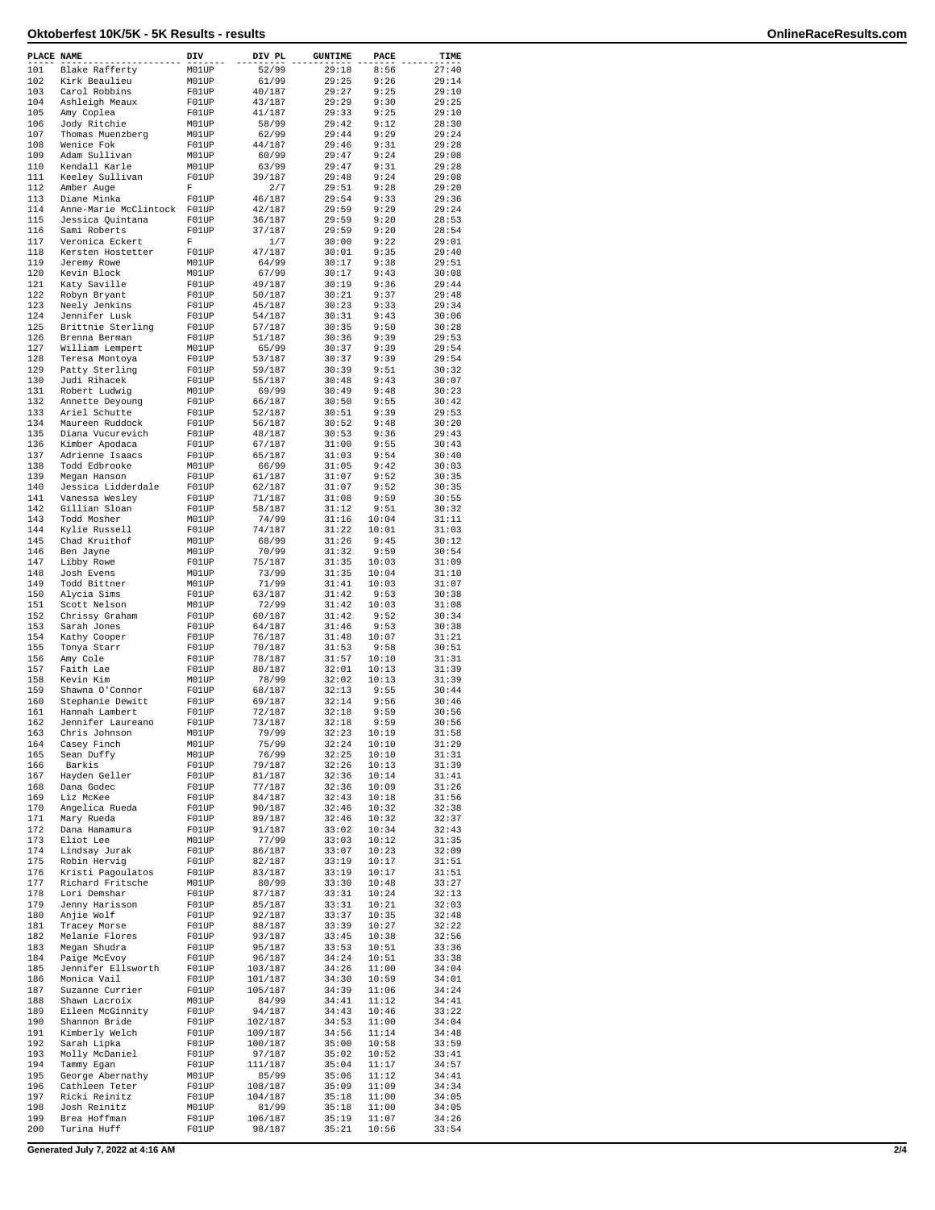| PLACE NAME |                                    | DIV            | DIV PL            | <b>GUNTIME</b> | PACE           | TIME           |
|------------|------------------------------------|----------------|-------------------|----------------|----------------|----------------|
| 101        | Blake Rafferty                     | M01UP          | 52/99             | 29:18          | 8:56           | 27:40          |
| 102        | Kirk Beaulieu                      | M01UP          | 61/99             | 29:25          | 9:26           | 29:14          |
| 103<br>104 | Carol Robbins<br>Ashleigh Meaux    | F01UP<br>F01UP | 40/187<br>43/187  | 29:27<br>29:29 | 9:25<br>9:30   | 29:10<br>29:25 |
| 105        | Amy Coplea                         | F01UP          | 41/187            | 29:33          | 9:25           | 29:10          |
| 106        | Jody Ritchie                       | M01UP          | 58/99             | 29:42          | 9:12           | 28:30          |
| 107        | Thomas Muenzberg                   | M01UP          | 62/99             | 29:44          | 9:29           | 29:24          |
| 108        | Wenice Fok                         | F01UP          | 44/187            | 29:46          | 9:31           | 29:28          |
| 109<br>110 | Adam Sullivan                      | M01UP          | 60/99             | 29:47<br>29:47 | 9:24<br>9:31   | 29:08<br>29:28 |
| 111        | Kendall Karle<br>Keeley Sullivan   | M01UP<br>F01UP | 63/99<br>39/187   | 29:48          | 9:24           | 29:08          |
| 112        | Amber Auge                         | F              | 2/7               | 29:51          | 9:28           | 29:20          |
| 113        | Diane Minka                        | F01UP          | 46/187            | 29:54          | 9:33           | 29:36          |
| 114        | Anne-Marie McClintock              | F01UP          | 42/187            | 29:59          | 9:29           | 29:24          |
| 115<br>116 | Jessica Quintana                   | F01UP          | 36/187<br>37/187  | 29:59          | 9:20           | 28:53          |
| 117        | Sami Roberts<br>Veronica Eckert    | F01UP<br>F     | 1/7               | 29:59<br>30:00 | 9:20<br>9:22   | 28:54<br>29:01 |
| 118        | Kersten Hostetter                  | F01UP          | 47/187            | 30:01          | 9:35           | 29:40          |
| 119        | Jeremy Rowe                        | M01UP          | 64/99             | 30:17          | 9:38           | 29:51          |
| 120        | Kevin Block                        | M01UP          | 67/99             | 30:17          | 9:43           | 30:08          |
| 121        | Katy Saville                       | F01UP          | 49/187            | 30:19          | 9:36           | 29:44          |
| 122<br>123 | Robyn Bryant<br>Neely Jenkins      | F01UP<br>F01UP | 50/187<br>45/187  | 30:21<br>30:23 | 9:37<br>9:33   | 29:48<br>29:34 |
| 124        | Jennifer Lusk                      | F01UP          | 54/187            | 30:31          | 9:43           | 30:06          |
| 125        | Brittnie Sterling                  | F01UP          | 57/187            | 30:35          | 9:50           | 30:28          |
| 126        | Brenna Berman                      | F01UP          | 51/187            | 30:36          | 9:39           | 29:53          |
| 127        | William Lempert                    | M01UP          | 65/99             | 30:37          | 9:39           | 29:54          |
| 128<br>129 | Teresa Montoya                     | F01UP          | 53/187            | 30:37          | 9:39           | 29:54          |
| 130        | Patty Sterling<br>Judi Rihacek     | F01UP<br>F01UP | 59/187<br>55/187  | 30:39<br>30:48 | 9:51<br>9:43   | 30:32<br>30:07 |
| 131        | Robert Ludwig                      | M01UP          | 69/99             | 30:49          | 9:48           | 30:23          |
| 132        | Annette Deyoung                    | F01UP          | 66/187            | 30:50          | 9:55           | 30:42          |
| 133        | Ariel Schutte                      | F01UP          | 52/187            | 30:51          | 9:39           | 29:53          |
| 134        | Maureen Ruddock                    | F01UP          | 56/187            | 30:52          | 9:48           | 30:20          |
| 135<br>136 | Diana Vucurevich<br>Kimber Apodaca | F01UP<br>F01UP | 48/187<br>67/187  | 30:53<br>31:00 | 9:36<br>9:55   | 29:43<br>30:43 |
| 137        | Adrienne Isaacs                    | F01UP          | 65/187            | 31:03          | 9:54           | 30:40          |
| 138        | Todd Edbrooke                      | M01UP          | 66/99             | 31:05          | 9:42           | 30:03          |
| 139        | Megan Hanson                       | F01UP          | 61/187            | 31:07          | 9:52           | 30:35          |
| 140        | Jessica Lidderdale                 | F01UP          | 62/187            | 31:07          | 9:52           | 30:35          |
| 141        | Vanessa Wesley                     | F01UP          | 71/187            | 31:08          | 9:59           | 30:55          |
| 142<br>143 | Gillian Sloan<br>Todd Mosher       | F01UP<br>M01UP | 58/187<br>74/99   | 31:12<br>31:16 | 9:51<br>10:04  | 30:32<br>31:11 |
| 144        | Kylie Russell                      | F01UP          | 74/187            | 31:22          | 10:01          | 31:03          |
| 145        | Chad Kruithof                      | M01UP          | 68/99             | 31:26          | 9:45           | 30:12          |
| 146        | Ben Jayne                          | M01UP          | 70/99             | 31:32          | 9:59           | 30:54          |
| 147        | Libby Rowe                         | F01UP          | 75/187            | 31:35          | 10:03          | 31:09          |
| 148        | Josh Evens                         | M01UP          | 73/99             | 31:35          | 10:04          | 31:10          |
| 149<br>150 | Todd Bittner<br>Alycia Sims        | M01UP<br>F01UP | 71/99<br>63/187   | 31:41<br>31:42 | 10:03<br>9:53  | 31:07<br>30:38 |
| 151        | Scott Nelson                       | M01UP          | 72/99             | 31:42          | 10:03          | 31:08          |
| 152        | Chrissy Graham                     | F01UP          | 60/187            | 31:42          | 9:52           | 30:34          |
| 153        | Sarah Jones                        | F01UP          | 64/187            | 31:46          | 9:53           | 30:38          |
| 154        | Kathy Cooper                       | F01UP          | 76/187            | 31:48          | 10:07          | 31:21          |
| 155        | Tonya Starr                        | F01UP          | 70/187            | 31:53          | 9:58           | 30:51          |
| 156<br>157 | Amy Cole<br>Faith Lae              | F01UP<br>F01UP | 78/187<br>80/187  | 31:57<br>32:01 | 10:10<br>10:13 | 31:31<br>31:39 |
| 158        | Kevin Kim                          | M01UP          | 78/99             | 32:02          | 10:13          | 31:39          |
| 159        | Shawna O'Connor                    | F01UP          | 68/187            | 32:13          | 9:55           | 30:44          |
| 160        | Stephanie Dewitt                   | F01UP          | 69/187            | 32:14          | 9:56           | 30:46          |
| 161        | Hannah Lambert                     | F01UP          | 72/187            | 32:18          | 9:59           | 30:56          |
| 162<br>163 | Jennifer Laureano<br>Chris Johnson | F01UP<br>M01UP | 73/187<br>79/99   | 32:18<br>32:23 | 9:59<br>10:19  | 30:56<br>31:58 |
| 164        | Casey Finch                        | M01UP          | 75/99             | 32:24          | 10:10          | 31:29          |
| 165        | Sean Duffy                         | M01UP          | 76/99             | 32:25          | 10:10          | 31:31          |
| 166        | Barkis                             | F01UP          | 79/187            | 32:26          | 10:13          | 31:39          |
| 167        | Hayden Geller                      | F01UP          | 81/187            | 32:36          | 10:14          | 31:41          |
| 168<br>169 | Dana Godec<br>Liz McKee            | F01UP<br>F01UP | 77/187<br>84/187  | 32:36<br>32:43 | 10:09<br>10:18 | 31:26<br>31:56 |
| 170        | Angelica Rueda                     | F01UP          | 90/187            | 32:46          | 10:32          | 32:38          |
| 171        | Mary Rueda                         | F01UP          | 89/187            | 32:46          | 10:32          | 32:37          |
| 172        | Dana Hamamura                      | F01UP          | 91/187            | 33:02          | 10:34          | 32:43          |
| 173        | Eliot Lee                          | M01UP          | 77/99             | 33:03          | 10:12          | 31:35          |
| 174<br>175 | Lindsay Jurak<br>Robin Hervig      | F01UP<br>F01UP | 86/187<br>82/187  | 33:07<br>33:19 | 10:23<br>10:17 | 32:09<br>31:51 |
| 176        | Kristi Pagoulatos                  | F01UP          | 83/187            | 33:19          | 10:17          | 31:51          |
| 177        | Richard Fritsche                   | M01UP          | 80/99             | 33:30          | 10:48          | 33:27          |
| 178        | Lori Demshar                       | F01UP          | 87/187            | 33:31          | 10:24          | 32:13          |
| 179        | Jenny Harisson                     | F01UP          | 85/187            | 33:31          | 10:21          | 32:03          |
| 180<br>181 | Anjie Wolf                         | F01UP<br>F01UP | 92/187            | 33:37<br>33:39 | 10:35<br>10:27 | 32:48<br>32:22 |
| 182        | Tracey Morse<br>Melanie Flores     | F01UP          | 88/187<br>93/187  | 33:45          | 10:38          | 32:56          |
| 183        | Megan Shudra                       | F01UP          | 95/187            | 33:53          | 10:51          | 33:36          |
| 184        | Paige McEvoy                       | F01UP          | 96/187            | 34:24          | 10:51          | 33:38          |
| 185        | Jennifer Ellsworth                 | F01UP          | 103/187           | 34:26          | 11:00          | 34:04          |
| 186<br>187 | Monica Vail                        | F01UP          | 101/187           | 34:30          | 10:59          | 34:01          |
| 188        | Suzanne Currier<br>Shawn Lacroix   | F01UP<br>M01UP | 105/187<br>84/99  | 34:39<br>34:41 | 11:06<br>11:12 | 34:24<br>34:41 |
| 189        | Eileen McGinnity                   | F01UP          | 94/187            | 34:43          | 10:46          | 33:22          |
| 190        | Shannon Bride                      | F01UP          | 102/187           | 34:53          | 11:00          | 34:04          |
| 191        | Kimberly Welch                     | F01UP          | 109/187           | 34:56          | 11:14          | 34:48          |
| 192        | Sarah Lipka                        | F01UP          | 100/187           | 35:00          | 10:58          | 33:59          |
| 193<br>194 | Molly McDaniel<br>Tammy Egan       | F01UP<br>F01UP | 97/187<br>111/187 | 35:02<br>35:04 | 10:52<br>11:17 | 33:41<br>34:57 |
| 195        | George Abernathy                   | M01UP          | 85/99             | 35:06          | 11:12          | 34:41          |
| 196        | Cathleen Teter                     | F01UP          | 108/187           | 35:09          | 11:09          | 34:34          |
| 197        | Ricki Reinitz                      | F01UP          | 104/187           | 35:18          | 11:00          | 34:05          |
| 198        | Josh Reinitz                       | M01UP          | 81/99             | 35:18          | 11:00          | 34:05          |
| 199<br>200 | Brea Hoffman<br>Turina Huff        | F01UP<br>F01UP | 106/187<br>98/187 | 35:19<br>35:21 | 11:07<br>10:56 | 34:26<br>33:54 |
|            |                                    |                |                   |                |                |                |

**Generated July 7, 2022 at 4:16 AM 2/4**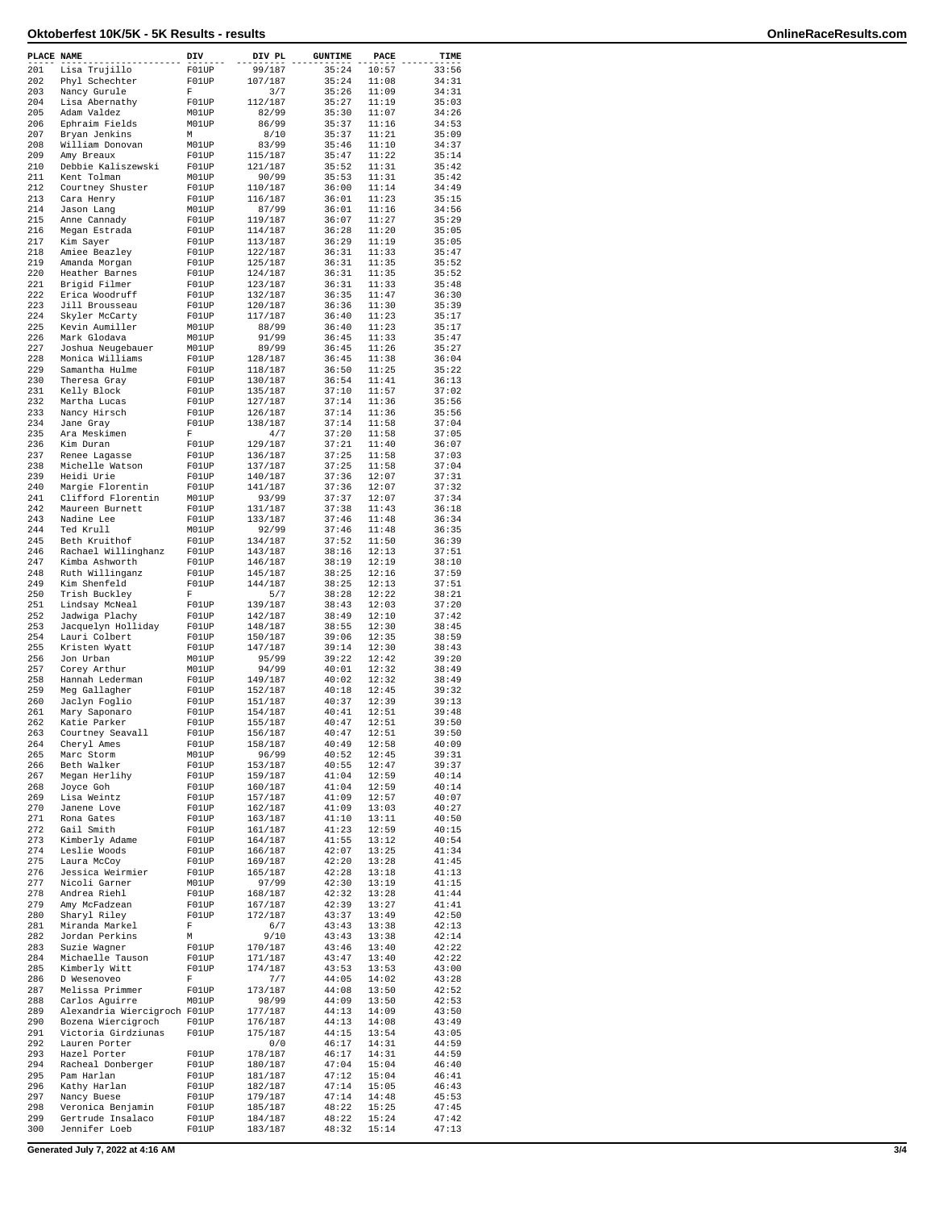| PLACE NAME |                                                | DIV            | DIV PL             | <b>GUNTIME</b> | PACE           | TIME           |
|------------|------------------------------------------------|----------------|--------------------|----------------|----------------|----------------|
| 201        | Lisa Trujillo                                  | F01UP          | 99/187             | 35:24          | 10:57          | 33:56          |
| 202        | Phyl Schechter                                 | F01UP          | 107/187            | 35:24          | 11:08          | 34:31          |
| 203        | Nancy Gurule                                   | F              | 3/7                | 35:26          | 11:09          | 34:31          |
| 204        | Lisa Abernathy                                 | F01UP          | 112/187            | 35:27          | 11:19          | 35:03          |
| 205        | Adam Valdez                                    | M01UP          | 82/99              | 35:30          | 11:07          | 34:26          |
| 206        | Ephraim Fields                                 | M01UP          | 86/99              | 35:37          | 11:16          | 34:53          |
| 207        | Bryan Jenkins                                  | М              | 8/10               | 35:37          | 11:21          | 35:09          |
| 208        | William Donovan                                | M01UP          | 83/99              | 35:46          | 11:10          | 34:37          |
| 209        | Amy Breaux                                     | F01UP          | 115/187            | 35:47          | 11:22          | 35:14          |
| 210        | Debbie Kaliszewski                             | F01UP          | 121/187            | 35:52          | 11:31          | 35:42          |
| 211<br>212 | Kent Tolman<br>Courtney Shuster                | M01UP<br>F01UP | 90/99<br>110/187   | 35:53<br>36:00 | 11:31<br>11:14 | 35:42<br>34:49 |
| 213        | Cara Henry                                     | F01UP          | 116/187            | 36:01          | 11:23          | 35:15          |
| 214        | Jason Lang                                     | M01UP          | 87/99              | 36:01          | 11:16          | 34:56          |
| 215        | Anne Cannady                                   | F01UP          | 119/187            | 36:07          | 11:27          | 35:29          |
| 216        | Megan Estrada                                  | F01UP          | 114/187            | 36:28          | 11:20          | 35:05          |
| 217        | Kim Sayer                                      | F01UP          | 113/187            | 36:29          | 11:19          | 35:05          |
| 218        | Amiee Beazley                                  | F01UP          | 122/187            | 36:31          | 11:33          | 35:47          |
| 219        | Amanda Morgan                                  | F01UP          | 125/187            | 36:31          | 11:35          | 35:52          |
| 220        | Heather Barnes                                 | F01UP          | 124/187            | 36:31          | 11:35          | 35:52          |
| 221        | Brigid Filmer                                  | F01UP          | 123/187            | 36:31          | 11:33          | 35:48          |
| 222        | Erica Woodruff                                 | F01UP          | 132/187            | 36:35          | 11:47          | 36:30          |
| 223        | Jill Brousseau                                 | F01UP          | 120/187            | 36:36          | 11:30          | 35:39          |
| 224        | Skyler McCarty                                 | F01UP          | 117/187            | 36:40          | 11:23          | 35:17          |
| 225        | Kevin Aumiller                                 | M01UP          | 88/99              | 36:40          | 11:23          | 35:17          |
| 226        | Mark Glodava                                   | M01UP          | 91/99              | 36:45          | 11:33          | 35:47          |
| 227        | Joshua Neugebauer                              | M01UP          | 89/99              | 36:45          | 11:26          | 35:27          |
| 228        | Monica Williams                                | F01UP          | 128/187            | 36:45          | 11:38          | 36:04          |
| 229        | Samantha Hulme                                 | F01UP          | 118/187            | 36:50          | 11:25          | 35:22          |
| 230        | Theresa Gray                                   | F01UP          | 130/187            | 36:54          | 11:41          | 36:13          |
| 231<br>232 | Kelly Block<br>Martha Lucas                    | F01UP<br>FOIUP | 135/187            | 37:10<br>37:14 | 11:57<br>11:36 | 37:02<br>35:56 |
| 233        | Nancy Hirsch                                   | F01UP          | 127/187<br>126/187 | 37:14          | 11:36          | 35:56          |
| 234        | Jane Gray                                      | F01UP          | 138/187            | 37:14          | 11:58          | 37:04          |
| 235        | Ara Meskimen                                   | F              | 4/7                | 37:20          | 11:58          | 37:05          |
| 236        | Kim Duran                                      | F01UP          | 129/187            | 37:21          | 11:40          | 36:07          |
| 237        | Renee Lagasse                                  | F01UP          | 136/187            | 37:25          | 11:58          | 37:03          |
| 238        | Michelle Watson                                | F01UP          | 137/187            | 37:25          | 11:58          | 37:04          |
| 239        | Heidi Urie                                     | F01UP          | 140/187            | 37:36          | 12:07          | 37:31          |
| 240        | Margie Florentin                               | F01UP          | 141/187            | 37:36          | 12:07          | 37:32          |
| 241        | Clifford Florentin                             | M01UP          | 93/99              | 37:37          | 12:07          | 37:34          |
| 242        | Maureen Burnett                                | F01UP          | 131/187            | 37:38          | 11:43          | 36:18          |
| 243        | Nadine Lee                                     | F01UP          | 133/187            | 37:46          | 11:48          | 36:34          |
| 244        | Ted Krull                                      | M01UP          | 92/99              | 37:46          | 11:48          | 36:35          |
| 245        | Beth Kruithof                                  | F01UP          | 134/187            | 37:52          | 11:50          | 36:39          |
| 246        | Rachael Willinghanz                            | F01UP          | 143/187            | 38:16          | 12:13          | 37:51          |
| 247        | Kimba Ashworth                                 | FOIUP          | 146/187            | 38:19          | 12:19          | 38:10          |
| 248        | Ruth Willinganz                                | F01UP          | 145/187            | 38:25          | 12:16          | 37:59          |
| 249        | Kim Shenfeld                                   | F01UP          | 144/187            | 38:25          | 12:13          | 37:51          |
| 250        | Trish Buckley                                  | F              | 5/7                | 38:28          | 12:22          | 38:21          |
| 251<br>252 | Lindsay McNeal                                 | F01UP          | 139/187            | 38:43          | 12:03          | 37:20<br>37:42 |
| 253        | Jadwiga Plachy                                 | F01UP<br>F01UP | 142/187<br>148/187 | 38:49          | 12:10<br>12:30 | 38:45          |
| 254        | Jacquelyn Holliday<br>Lauri Colbert            | F01UP          | 150/187            | 38:55<br>39:06 | 12:35          | 38:59          |
| 255        | Kristen Wyatt                                  | F01UP          | 147/187            | 39:14          | 12:30          | 38:43          |
| 256        | Jon Urban                                      | M01UP          | 95/99              | 39:22          | 12:42          | 39:20          |
| 257        | Corey Arthur                                   | M01UP          | 94/99              | 40:01          | 12:32          | 38:49          |
| 258        | Hannah Lederman                                | F01UP          | 149/187            | 40:02          | 12:32          | 38:49          |
| 259        | Meg Gallagher                                  | F01UP          | 152/187            | 40:18          | 12:45          | 39:32          |
| 260        | Jaclyn Foglio                                  | F01UP          | 151/187            | 40:37          | 12:39          | 39:13          |
| 261        | Mary Saponaro                                  | F01UP          | 154/187            | 40:41          | 12:51          | 39:48          |
| 262        | Katie Parker                                   | F01UP          | 155/187            | 40:47          | 12:51          | 39:50          |
| 263        | Courtney Seavall                               | F01UP          | 156/187            | 40:47          | 12:51          | 39:50          |
| 264        | Cheryl Ames                                    | F01UP          | 158/187            | 40:49          | 12:58          | 40:09          |
| 265        | Marc Storm                                     | M01UP          | 96/99              | 40:52          | 12:45          | 39:31          |
| 266        | Beth Walker                                    | F01UP          | 153/187            | 40:55          | 12:47          | 39:37          |
| 267        | Megan Herlihy                                  | F01UP          | 159/187            | 41:04          | 12:59          | 40:14          |
| 268        | Joyce Goh<br>Lisa Weintz                       | F01UP          | 160/187            | 41:04          | 12:59          | 40:14          |
| 269<br>270 | Janene Love                                    | F01UP<br>F01UP | 157/187<br>162/187 | 41:09<br>41:09 | 12:57<br>13:03 | 40:07<br>40:27 |
| 271        | Rona Gates                                     | F01UP          | 163/187            | 41:10          | 13:11          | 40:50          |
| 272        | Gail Smith                                     | F01UP          | 161/187            | 41:23          | 12:59          | 40:15          |
| 273        | Kimberly Adame                                 | F01UP          | 164/187            | 41:55          | 13:12          | 40:54          |
| 274        | Leslie Woods                                   | F01UP          | 166/187            | 42:07          | 13:25          | 41:34          |
| 275        | Laura McCoy                                    | F01UP          | 169/187            | 42:20          | 13:28          | 41:45          |
| 276        | Jessica Weirmier                               | F01UP          | 165/187            | 42:28          | 13:18          | 41:13          |
| 277        | Nicoli Garner                                  | M01UP          | 97/99              | 42:30          | 13:19          | 41:15          |
| 278        | Andrea Riehl                                   | F01UP          | 168/187            | 42:32          | 13:28          | 41:44          |
| 279        | Amy McFadzean                                  | F01UP          | 167/187            | 42:39          | 13:27          | 41:41          |
| 280        | Sharyl Riley                                   | F01UP          | 172/187            | 43:37          | 13:49          | 42:50          |
| 281        | Miranda Markel                                 | F              | 6/7                | 43:43          | 13:38          | 42:13          |
| 282        | Jordan Perkins                                 | М              | 9/10               | 43:43          | 13:38          | 42:14          |
| 283        | Suzie Wagner                                   | F01UP          | 170/187            | 43:46          | 13:40          | 42:22          |
| 284        | Michaelle Tauson                               | F01UP          | 171/187            | 43:47          | 13:40          | 42:22          |
| 285        | Kimberly Witt                                  | F01UP          | 174/187            | 43:53          | 13:53          | 43:00          |
| 286        | D Wesenoveo                                    | F              | 7/7                | 44:05          | 14:02          | 43:28          |
| 287        | Melissa Primmer                                | F01UP          | 173/187<br>98/99   | 44:08          | 13:50          | 42:52<br>42:53 |
| 288<br>289 | Carlos Aguirre<br>Alexandria Wiercigroch F01UP | M01UP          | 177/187            | 44:09<br>44:13 | 13:50<br>14:09 | 43:50          |
| 290        | Bozena Wiercigroch                             | F01UP          | 176/187            | 44:13          | 14:08          | 43:49          |
| 291        | Victoria Girdziunas                            | F01UP          | 175/187            | 44:15          | 13:54          | 43:05          |
| 292        | Lauren Porter                                  |                | 0/0                | 46:17          | 14:31          | 44:59          |
| 293        | Hazel Porter                                   | F01UP          | 178/187            | 46:17          | 14:31          | 44:59          |
| 294        | Racheal Donberger                              | F01UP          | 180/187            | 47:04          | 15:04          | 46:40          |
| 295        | Pam Harlan                                     | F01UP          | 181/187            | 47:12          | 15:04          | 46:41          |
| 296        | Kathy Harlan                                   | F01UP          | 182/187            | 47:14          | 15:05          | 46:43          |
| 297        | Nancy Buese                                    | F01UP          | 179/187            | 47:14          | 14:48          | 45:53          |
| 298        | Veronica Benjamin                              | F01UP          | 185/187            | 48:22          | 15:25          | 47:45          |
| 299        | Gertrude Insalaco                              | F01UP          | 184/187            | 48:22          | 15:24          | 47:42          |
| 300        | Jennifer Loeb                                  | F01UP          | 183/187            | 48:32          | 15:14          | 47:13          |

**Generated July 7, 2022 at 4:16 AM 3/4**